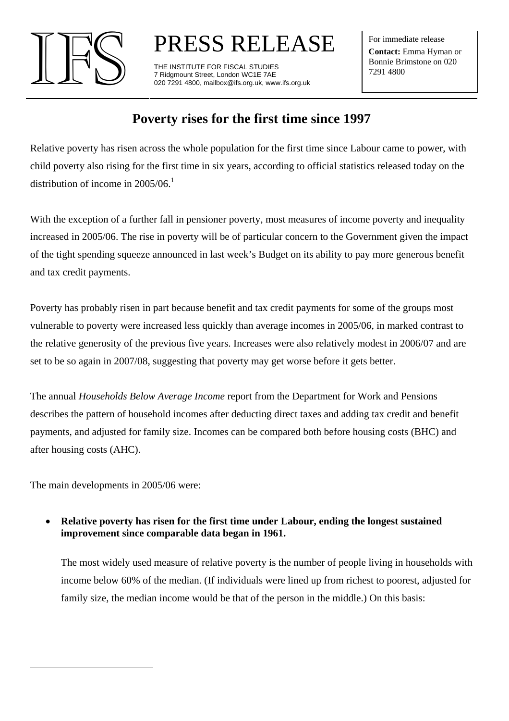

PRESS RELEASE IFS THE INSTITUTE FOR FISCAL STUDIES

7 Ridgmount Street, London WC1E 7AE 020 7291 4800, mailbox@ifs.org.uk, www.ifs.org.uk For immediate release **Contact:** Emma Hyman or Bonnie Brimstone on 020 7291 4800

# **Poverty rises for the first time since 1997**

Relative poverty has risen across the whole population for the first time since Labour came to power, with child poverty also rising for the first time in six years, according to official statistics released today on the distribution of income in  $2005/06<sup>1</sup>$  $2005/06<sup>1</sup>$  $2005/06<sup>1</sup>$ 

With the exception of a further fall in pensioner poverty, most measures of income poverty and inequality increased in 2005/06. The rise in poverty will be of particular concern to the Government given the impact of the tight spending squeeze announced in last week's Budget on its ability to pay more generous benefit and tax credit payments.

Poverty has probably risen in part because benefit and tax credit payments for some of the groups most vulnerable to poverty were increased less quickly than average incomes in 2005/06, in marked contrast to the relative generosity of the previous five years. Increases were also relatively modest in 2006/07 and are set to be so again in 2007/08, suggesting that poverty may get worse before it gets better.

The annual *Households Below Average Income* report from the Department for Work and Pensions describes the pattern of household incomes after deducting direct taxes and adding tax credit and benefit payments, and adjusted for family size. Incomes can be compared both before housing costs (BHC) and after housing costs (AHC).

The main developments in 2005/06 were:

<span id="page-0-0"></span> $\overline{a}$ 

• **Relative poverty has risen for the first time under Labour, ending the longest sustained improvement since comparable data began in 1961.**

The most widely used measure of relative poverty is the number of people living in households with income below 60% of the median. (If individuals were lined up from richest to poorest, adjusted for family size, the median income would be that of the person in the middle.) On this basis: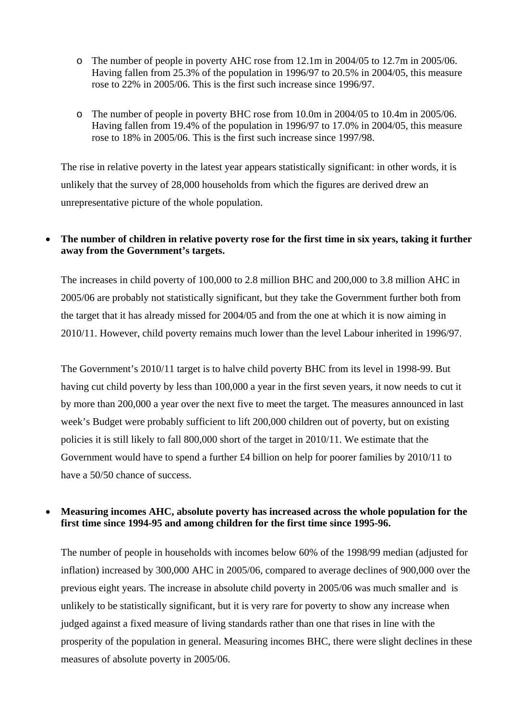- o The number of people in poverty AHC rose from 12.1m in 2004/05 to 12.7m in 2005/06. Having fallen from 25.3% of the population in 1996/97 to 20.5% in 2004/05, this measure rose to 22% in 2005/06. This is the first such increase since 1996/97.
- o The number of people in poverty BHC rose from 10.0m in 2004/05 to 10.4m in 2005/06. Having fallen from 19.4% of the population in 1996/97 to 17.0% in 2004/05, this measure rose to 18% in 2005/06. This is the first such increase since 1997/98.

The rise in relative poverty in the latest year appears statistically significant: in other words, it is unlikely that the survey of 28,000 households from which the figures are derived drew an unrepresentative picture of the whole population.

# • **The number of children in relative poverty rose for the first time in six years, taking it further away from the Government's targets.**

The increases in child poverty of 100,000 to 2.8 million BHC and 200,000 to 3.8 million AHC in 2005/06 are probably not statistically significant, but they take the Government further both from the target that it has already missed for 2004/05 and from the one at which it is now aiming in 2010/11. However, child poverty remains much lower than the level Labour inherited in 1996/97.

The Government's 2010/11 target is to halve child poverty BHC from its level in 1998-99. But having cut child poverty by less than 100,000 a year in the first seven years, it now needs to cut it by more than 200,000 a year over the next five to meet the target. The measures announced in last week's Budget were probably sufficient to lift 200,000 children out of poverty, but on existing policies it is still likely to fall 800,000 short of the target in 2010/11. We estimate that the Government would have to spend a further £4 billion on help for poorer families by 2010/11 to have a 50/50 chance of success.

### • **Measuring incomes AHC, absolute poverty has increased across the whole population for the first time since 1994-95 and among children for the first time since 1995-96.**

The number of people in households with incomes below 60% of the 1998/99 median (adjusted for inflation) increased by 300,000 AHC in 2005/06, compared to average declines of 900,000 over the previous eight years. The increase in absolute child poverty in 2005/06 was much smaller and is unlikely to be statistically significant, but it is very rare for poverty to show any increase when judged against a fixed measure of living standards rather than one that rises in line with the prosperity of the population in general. Measuring incomes BHC, there were slight declines in these measures of absolute poverty in 2005/06.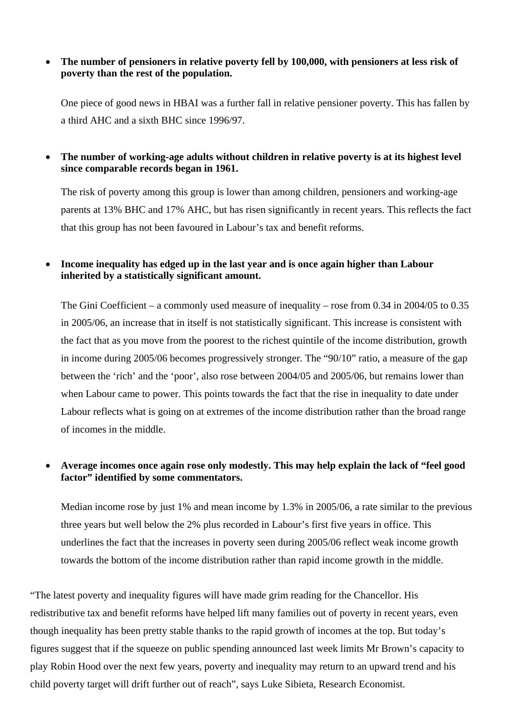### • **The number of pensioners in relative poverty fell by 100,000, with pensioners at less risk of poverty than the rest of the population.**

One piece of good news in HBAI was a further fall in relative pensioner poverty. This has fallen by a third AHC and a sixth BHC since 1996/97.

# • **The number of working-age adults without children in relative poverty is at its highest level since comparable records began in 1961.**

The risk of poverty among this group is lower than among children, pensioners and working-age parents at 13% BHC and 17% AHC, but has risen significantly in recent years. This reflects the fact that this group has not been favoured in Labour's tax and benefit reforms.

# • **Income inequality has edged up in the last year and is once again higher than Labour inherited by a statistically significant amount.**

The Gini Coefficient – a commonly used measure of inequality – rose from 0.34 in 2004/05 to 0.35 in 2005/06, an increase that in itself is not statistically significant. This increase is consistent with the fact that as you move from the poorest to the richest quintile of the income distribution, growth in income during 2005/06 becomes progressively stronger. The "90/10" ratio, a measure of the gap between the 'rich' and the 'poor', also rose between 2004/05 and 2005/06, but remains lower than when Labour came to power. This points towards the fact that the rise in inequality to date under Labour reflects what is going on at extremes of the income distribution rather than the broad range of incomes in the middle.

### • **Average incomes once again rose only modestly. This may help explain the lack of "feel good factor" identified by some commentators.**

Median income rose by just 1% and mean income by 1.3% in 2005/06, a rate similar to the previous three years but well below the 2% plus recorded in Labour's first five years in office. This underlines the fact that the increases in poverty seen during 2005/06 reflect weak income growth towards the bottom of the income distribution rather than rapid income growth in the middle.

"The latest poverty and inequality figures will have made grim reading for the Chancellor. His redistributive tax and benefit reforms have helped lift many families out of poverty in recent years, even though inequality has been pretty stable thanks to the rapid growth of incomes at the top. But today's figures suggest that if the squeeze on public spending announced last week limits Mr Brown's capacity to play Robin Hood over the next few years, poverty and inequality may return to an upward trend and his child poverty target will drift further out of reach", says Luke Sibieta, Research Economist.